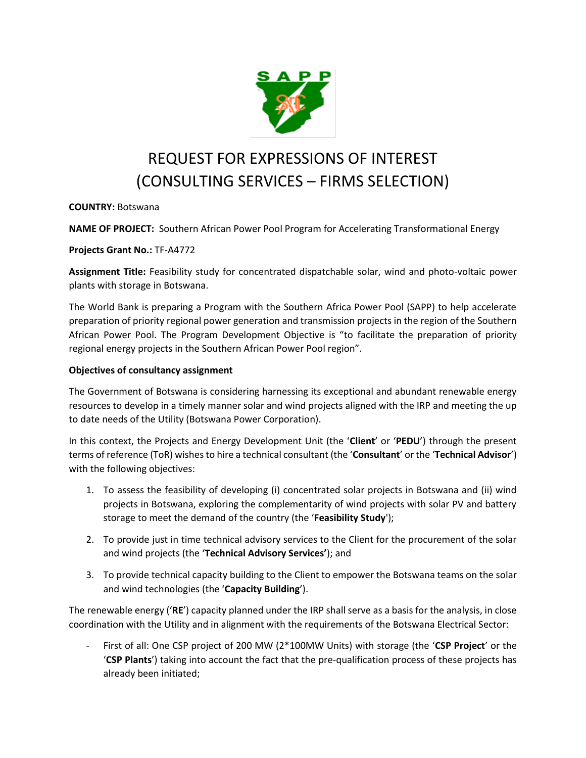

# REQUEST FOR EXPRESSIONS OF INTEREST (CONSULTING SERVICES – FIRMS SELECTION)

## **COUNTRY:** Botswana

**NAME OF PROJECT:** Southern African Power Pool Program for Accelerating Transformational Energy

**Projects Grant No.:** TF-A4772

**Assignment Title:** Feasibility study for concentrated dispatchable solar, wind and photo-voltaic power plants with storage in Botswana.

The World Bank is preparing a Program with the Southern Africa Power Pool (SAPP) to help accelerate preparation of priority regional power generation and transmission projects in the region of the Southern African Power Pool. The Program Development Objective is "to facilitate the preparation of priority regional energy projects in the Southern African Power Pool region".

#### **Objectives of consultancy assignment**

The Government of Botswana is considering harnessing its exceptional and abundant renewable energy resources to develop in a timely manner solar and wind projects aligned with the IRP and meeting the up to date needs of the Utility (Botswana Power Corporation).

In this context, the Projects and Energy Development Unit (the '**Client**' or '**PEDU**') through the present terms of reference (ToR) wishes to hire a technical consultant (the '**Consultant**' or the '**Technical Advisor**') with the following objectives:

- 1. To assess the feasibility of developing (i) concentrated solar projects in Botswana and (ii) wind projects in Botswana, exploring the complementarity of wind projects with solar PV and battery storage to meet the demand of the country (the '**Feasibility Study**');
- 2. To provide just in time technical advisory services to the Client for the procurement of the solar and wind projects (the '**Technical Advisory Services'**); and
- 3. To provide technical capacity building to the Client to empower the Botswana teams on the solar and wind technologies (the '**Capacity Building**').

The renewable energy ('**RE**') capacity planned under the IRP shall serve as a basis for the analysis, in close coordination with the Utility and in alignment with the requirements of the Botswana Electrical Sector:

- First of all: One CSP project of 200 MW (2\*100MW Units) with storage (the '**CSP Project**' or the '**CSP Plants**') taking into account the fact that the pre-qualification process of these projects has already been initiated;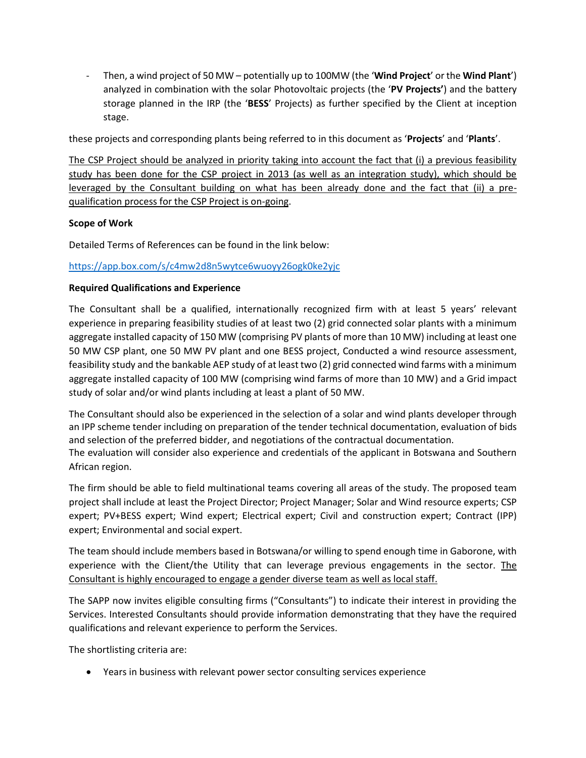- Then, a wind project of 50 MW – potentially up to 100MW (the '**Wind Project**' or the **Wind Plant**') analyzed in combination with the solar Photovoltaic projects (the '**PV Projects'**) and the battery storage planned in the IRP (the '**BESS**' Projects) as further specified by the Client at inception stage.

these projects and corresponding plants being referred to in this document as '**Projects**' and '**Plants**'.

The CSP Project should be analyzed in priority taking into account the fact that (i) a previous feasibility study has been done for the CSP project in 2013 (as well as an integration study), which should be leveraged by the Consultant building on what has been already done and the fact that (ii) a prequalification process for the CSP Project is on-going.

#### **Scope of Work**

Detailed Terms of References can be found in the link below:

### <https://app.box.com/s/c4mw2d8n5wytce6wuoyy26ogk0ke2yjc>

#### **Required Qualifications and Experience**

The Consultant shall be a qualified, internationally recognized firm with at least 5 years' relevant experience in preparing feasibility studies of at least two (2) grid connected solar plants with a minimum aggregate installed capacity of 150 MW (comprising PV plants of more than 10 MW) including at least one 50 MW CSP plant, one 50 MW PV plant and one BESS project, Conducted a wind resource assessment, feasibility study and the bankable AEP study of at least two (2) grid connected wind farms with a minimum aggregate installed capacity of 100 MW (comprising wind farms of more than 10 MW) and a Grid impact study of solar and/or wind plants including at least a plant of 50 MW.

The Consultant should also be experienced in the selection of a solar and wind plants developer through an IPP scheme tender including on preparation of the tender technical documentation, evaluation of bids and selection of the preferred bidder, and negotiations of the contractual documentation. The evaluation will consider also experience and credentials of the applicant in Botswana and Southern African region.

The firm should be able to field multinational teams covering all areas of the study. The proposed team project shall include at least the Project Director; Project Manager; Solar and Wind resource experts; CSP expert; PV+BESS expert; Wind expert; Electrical expert; Civil and construction expert; Contract (IPP) expert; Environmental and social expert.

The team should include members based in Botswana/or willing to spend enough time in Gaborone, with experience with the Client/the Utility that can leverage previous engagements in the sector. The Consultant is highly encouraged to engage a gender diverse team as well as local staff.

The SAPP now invites eligible consulting firms ("Consultants") to indicate their interest in providing the Services. Interested Consultants should provide information demonstrating that they have the required qualifications and relevant experience to perform the Services.

The shortlisting criteria are:

• Years in business with relevant power sector consulting services experience